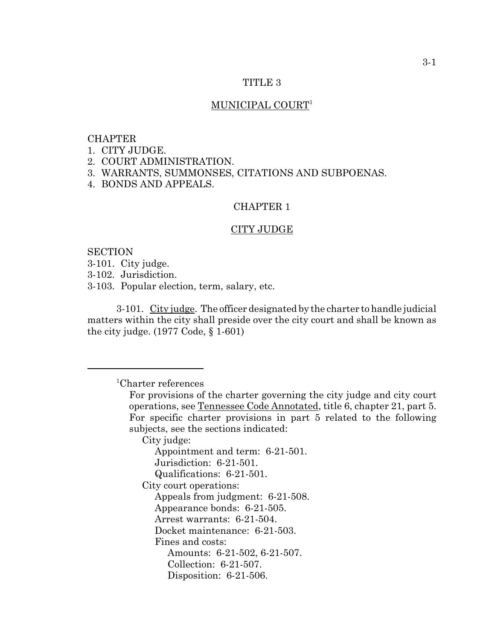# TITLE 3

# MUNICIPAL COURT<sup>1</sup>

# CHAPTER

1. CITY JUDGE.

2. COURT ADMINISTRATION.

3. WARRANTS, SUMMONSES, CITATIONS AND SUBPOENAS.

4. BONDS AND APPEALS.

# CHAPTER 1

#### CITY JUDGE

SECTION 3-101. City judge.

3-102. Jurisdiction.

3-103. Popular election, term, salary, etc.

3-101. City judge. The officer designated by the charter to handle judicial matters within the city shall preside over the city court and shall be known as the city judge. (1977 Code, § 1-601)

1 Charter references

For provisions of the charter governing the city judge and city court operations, see Tennessee Code Annotated, title 6, chapter 21, part 5. For specific charter provisions in part 5 related to the following subjects, see the sections indicated:

City judge:

Appointment and term: 6-21-501. Jurisdiction: 6-21-501. Qualifications: 6-21-501. City court operations: Appeals from judgment: 6-21-508. Appearance bonds: 6-21-505. Arrest warrants: 6-21-504. Docket maintenance: 6-21-503. Fines and costs: Amounts: 6-21-502, 6-21-507. Collection: 6-21-507. Disposition: 6-21-506.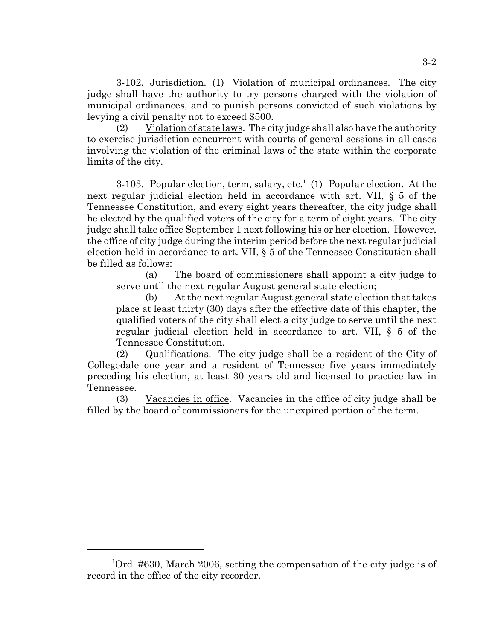3-102. Jurisdiction. (1) Violation of municipal ordinances. The city judge shall have the authority to try persons charged with the violation of municipal ordinances, and to punish persons convicted of such violations by levying a civil penalty not to exceed \$500.

(2) Violation of state laws. The city judge shall also have the authority to exercise jurisdiction concurrent with courts of general sessions in all cases involving the violation of the criminal laws of the state within the corporate limits of the city.

3-103. Popular election, term, salary, etc.<sup>1</sup> (1) Popular election. At the next regular judicial election held in accordance with art. VII, § 5 of the Tennessee Constitution, and every eight years thereafter, the city judge shall be elected by the qualified voters of the city for a term of eight years. The city judge shall take office September 1 next following his or her election. However, the office of city judge during the interim period before the next regular judicial election held in accordance to art. VII, § 5 of the Tennessee Constitution shall be filled as follows:

(a) The board of commissioners shall appoint a city judge to serve until the next regular August general state election;

(b) At the next regular August general state election that takes place at least thirty (30) days after the effective date of this chapter, the qualified voters of the city shall elect a city judge to serve until the next regular judicial election held in accordance to art. VII, § 5 of the Tennessee Constitution.

(2) Qualifications. The city judge shall be a resident of the City of Collegedale one year and a resident of Tennessee five years immediately preceding his election, at least 30 years old and licensed to practice law in Tennessee.

(3) Vacancies in office. Vacancies in the office of city judge shall be filled by the board of commissioners for the unexpired portion of the term.

<sup>1</sup> Ord. #630, March 2006, setting the compensation of the city judge is of record in the office of the city recorder.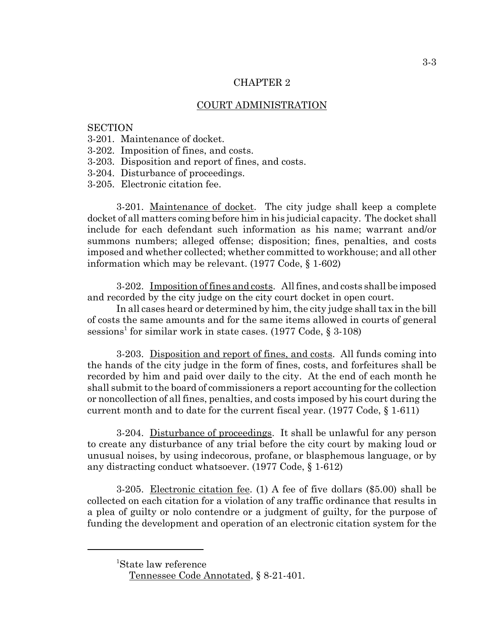### CHAPTER 2

# COURT ADMINISTRATION

# **SECTION**

- 3-201. Maintenance of docket.
- 3-202. Imposition of fines, and costs.
- 3-203. Disposition and report of fines, and costs.
- 3-204. Disturbance of proceedings.
- 3-205. Electronic citation fee.

3-201. Maintenance of docket. The city judge shall keep a complete docket of all matters coming before him in his judicial capacity. The docket shall include for each defendant such information as his name; warrant and/or summons numbers; alleged offense; disposition; fines, penalties, and costs imposed and whether collected; whether committed to workhouse; and all other information which may be relevant. (1977 Code, § 1-602)

3-202. Imposition of fines and costs. All fines, and costs shall be imposed and recorded by the city judge on the city court docket in open court.

In all cases heard or determined by him, the city judge shall tax in the bill of costs the same amounts and for the same items allowed in courts of general sessions<sup>1</sup> for similar work in state cases. (1977 Code, § 3-108)

3-203. Disposition and report of fines, and costs. All funds coming into the hands of the city judge in the form of fines, costs, and forfeitures shall be recorded by him and paid over daily to the city. At the end of each month he shall submit to the board of commissioners a report accounting for the collection or noncollection of all fines, penalties, and costs imposed by his court during the current month and to date for the current fiscal year. (1977 Code, § 1-611)

3-204. Disturbance of proceedings. It shall be unlawful for any person to create any disturbance of any trial before the city court by making loud or unusual noises, by using indecorous, profane, or blasphemous language, or by any distracting conduct whatsoever. (1977 Code, § 1-612)

3-205. Electronic citation fee. (1) A fee of five dollars (\$5.00) shall be collected on each citation for a violation of any traffic ordinance that results in a plea of guilty or nolo contendre or a judgment of guilty, for the purpose of funding the development and operation of an electronic citation system for the

<sup>1</sup> State law reference

Tennessee Code Annotated, § 8-21-401.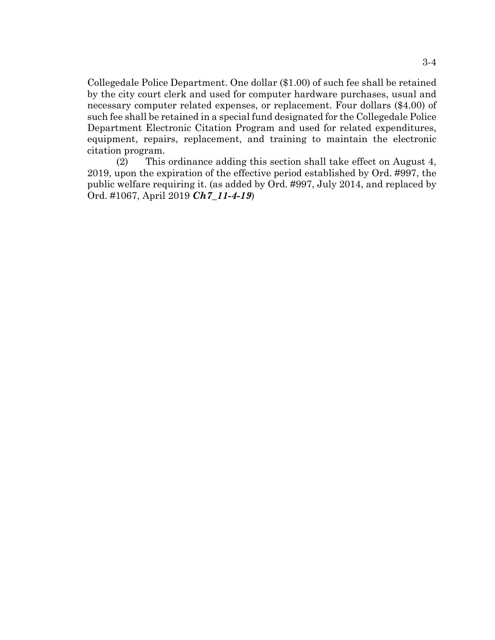Collegedale Police Department. One dollar (\$1.00) of such fee shall be retained by the city court clerk and used for computer hardware purchases, usual and necessary computer related expenses, or replacement. Four dollars (\$4.00) of such fee shall be retained in a special fund designated for the Collegedale Police Department Electronic Citation Program and used for related expenditures, equipment, repairs, replacement, and training to maintain the electronic citation program.

(2) This ordinance adding this section shall take effect on August 4, 2019, upon the expiration of the effective period established by Ord. #997, the public welfare requiring it. (as added by Ord. #997, July 2014, and replaced by Ord. #1067, April 2019 *Ch7\_11-4-19*)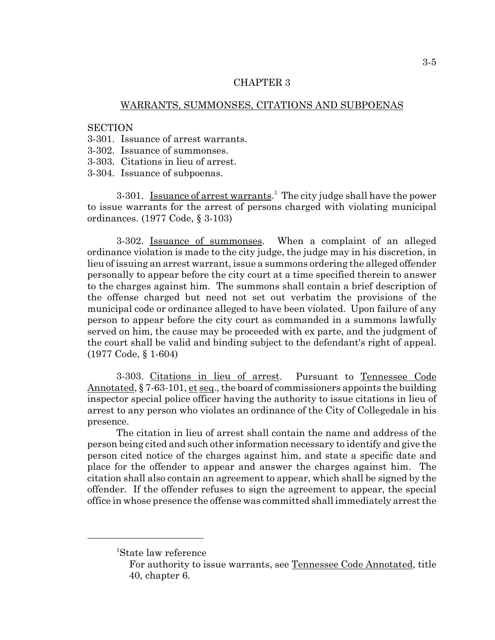#### CHAPTER 3

# WARRANTS, SUMMONSES, CITATIONS AND SUBPOENAS

### **SECTION**

- 3-301. Issuance of arrest warrants.
- 3-302. Issuance of summonses.
- 3-303. Citations in lieu of arrest.
- 3-304. Issuance of subpoenas.

3-301. Issuance of arrest warrants.<sup>1</sup> The city judge shall have the power to issue warrants for the arrest of persons charged with violating municipal ordinances. (1977 Code, § 3-103)

3-302. Issuance of summonses. When a complaint of an alleged ordinance violation is made to the city judge, the judge may in his discretion, in lieu of issuing an arrest warrant, issue a summons ordering the alleged offender personally to appear before the city court at a time specified therein to answer to the charges against him. The summons shall contain a brief description of the offense charged but need not set out verbatim the provisions of the municipal code or ordinance alleged to have been violated. Upon failure of any person to appear before the city court as commanded in a summons lawfully served on him, the cause may be proceeded with ex parte, and the judgment of the court shall be valid and binding subject to the defendant's right of appeal. (1977 Code, § 1-604)

3-303. Citations in lieu of arrest. Pursuant to Tennessee Code Annotated, § 7-63-101, et seq., the board of commissioners appoints the building inspector special police officer having the authority to issue citations in lieu of arrest to any person who violates an ordinance of the City of Collegedale in his presence.

The citation in lieu of arrest shall contain the name and address of the person being cited and such other information necessary to identify and give the person cited notice of the charges against him, and state a specific date and place for the offender to appear and answer the charges against him. The citation shall also contain an agreement to appear, which shall be signed by the offender. If the offender refuses to sign the agreement to appear, the special office in whose presence the offense was committed shall immediately arrest the

<sup>1</sup> State law reference

For authority to issue warrants, see Tennessee Code Annotated, title 40, chapter 6.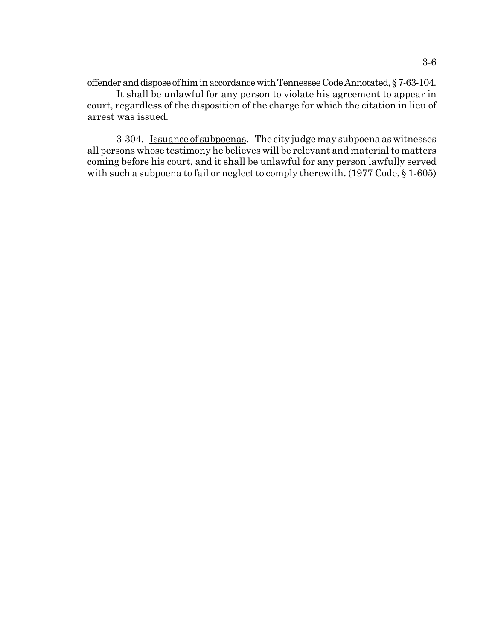offender and dispose of him in accordance with Tennessee Code Annotated, § 7-63-104.

It shall be unlawful for any person to violate his agreement to appear in court, regardless of the disposition of the charge for which the citation in lieu of arrest was issued.

3-304. Issuance of subpoenas. The city judge may subpoena as witnesses all persons whose testimony he believes will be relevant and material to matters coming before his court, and it shall be unlawful for any person lawfully served with such a subpoena to fail or neglect to comply therewith. (1977 Code, § 1-605)